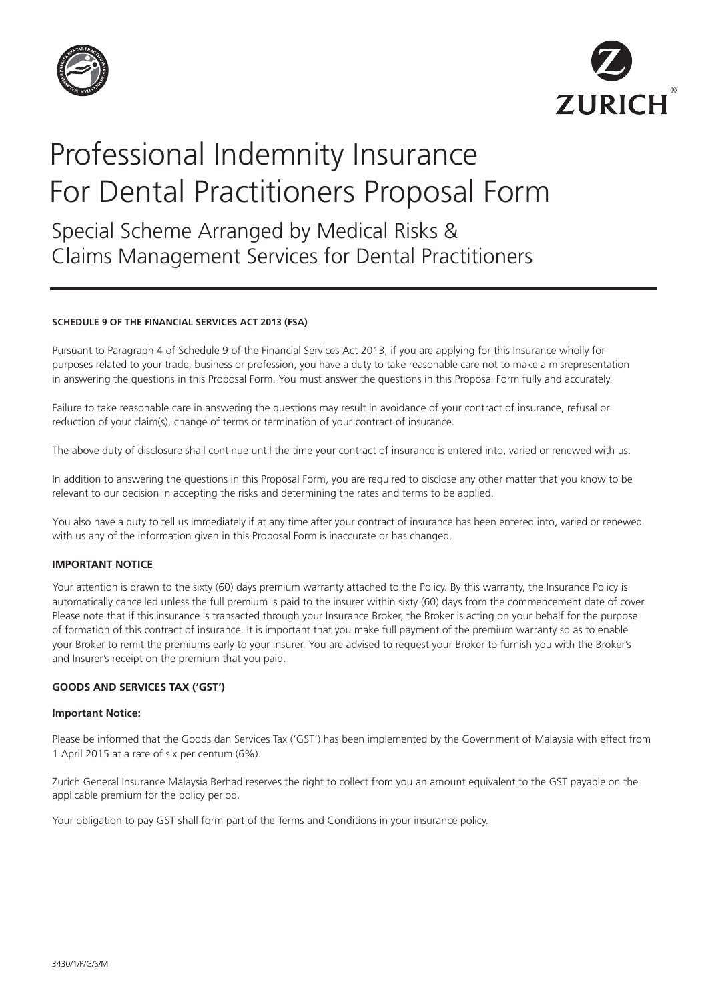



# Professional Indemnity Insurance For Dental Practitioners Proposal Form

Special Scheme Arranged by Medical Risks & Claims Management Services for Dental Practitioners

#### **SCHEDULE 9 OF THE FINANCIAL SERVICES ACT 2013 (FSA)**

Pursuant to Paragraph 4 of Schedule 9 of the Financial Services Act 2013, if you are applying for this Insurance wholly for purposes related to your trade, business or profession, you have a duty to take reasonable care not to make a misrepresentation in answering the questions in this Proposal Form. You must answer the questions in this Proposal Form fully and accurately.

Failure to take reasonable care in answering the questions may result in avoidance of your contract of insurance, refusal or reduction of your claim(s), change of terms or termination of your contract of insurance.

The above duty of disclosure shall continue until the time your contract of insurance is entered into, varied or renewed with us.

In addition to answering the questions in this Proposal Form, you are required to disclose any other matter that you know to be relevant to our decision in accepting the risks and determining the rates and terms to be applied.

You also have a duty to tell us immediately if at any time after your contract of insurance has been entered into, varied or renewed with us any of the information given in this Proposal Form is inaccurate or has changed.

## **IMPORTANT NOTICE**

Your attention is drawn to the sixty (60) days premium warranty attached to the Policy. By this warranty, the Insurance Policy is automatically cancelled unless the full premium is paid to the insurer within sixty (60) days from the commencement date of cover. Please note that if this insurance is transacted through your Insurance Broker, the Broker is acting on your behalf for the purpose of formation of this contract of insurance. It is important that you make full payment of the premium warranty so as to enable your Broker to remit the premiums early to your Insurer. You are advised to request your Broker to furnish you with the Broker's and Insurer's receipt on the premium that you paid.

## **GOODS AND SERVICES TAX ('GST')**

#### **Important Notice:**

Please be informed that the Goods dan Services Tax ('GST') has been implemented by the Government of Malaysia with effect from 1 April 2015 at a rate of six per centum (6%).

Zurich General Insurance Malaysia Berhad reserves the right to collect from you an amount equivalent to the GST payable on the applicable premium for the policy period.

Your obligation to pay GST shall form part of the Terms and Conditions in your insurance policy.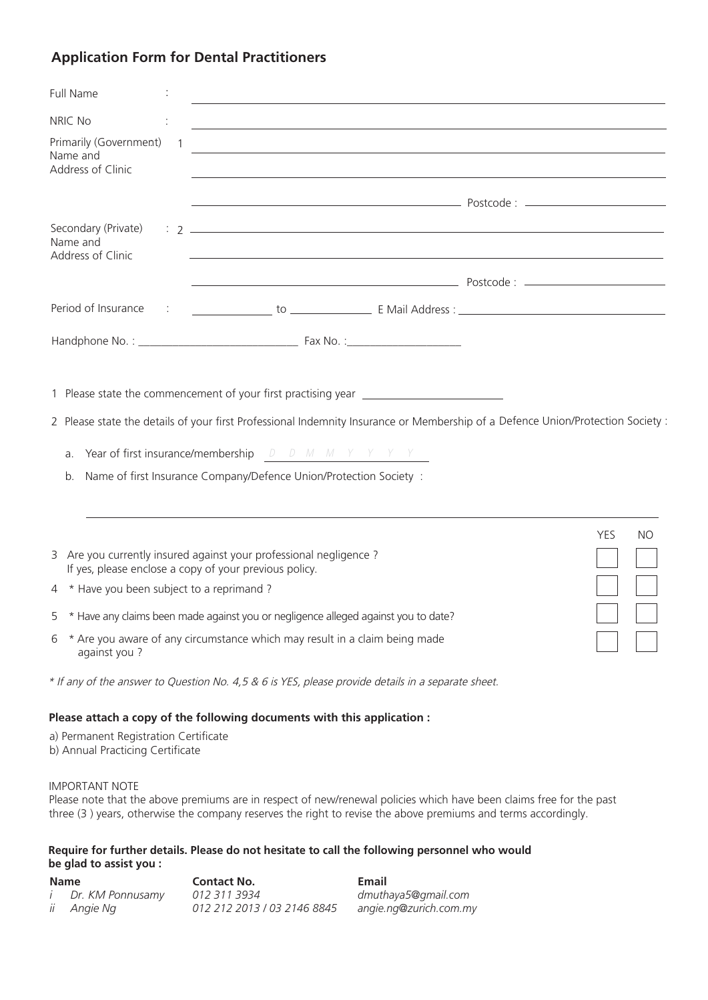# **Application Form for Dental Practitioners**

| <b>Full Name</b>                                                          |              | <u> 1989 - Jan Samuel Barbara, margaret eta idazlea (h. 1989).</u>                                                                                                                                                                                                                                                                                          |            |           |
|---------------------------------------------------------------------------|--------------|-------------------------------------------------------------------------------------------------------------------------------------------------------------------------------------------------------------------------------------------------------------------------------------------------------------------------------------------------------------|------------|-----------|
| NRIC No                                                                   |              | and the control of the control of the control of the control of the control of the control of the control of the                                                                                                                                                                                                                                            |            |           |
| Primarily (Government)<br>Name and<br>Address of Clinic                   | $\mathbf{1}$ | <u> 1980 - Johann Barbara, martxa alemaniar argametar a martxa a shekara a shekara a shekara a shekara a shekara</u><br><u> 1989 - Johann Stoff, deutscher Stoffen und der Stoffen und der Stoffen und der Stoffen und der Stoffen und der</u>                                                                                                              |            |           |
|                                                                           |              |                                                                                                                                                                                                                                                                                                                                                             |            |           |
| Secondary (Private)<br>Name and<br>Address of Clinic                      |              | <u> 1989 - Andrea Santa Andrea Andrea Andrea Andrea Andrea Andrea Andrea Andrea Andrea Andrea Andrea Andrea Andr</u>                                                                                                                                                                                                                                        |            |           |
|                                                                           |              |                                                                                                                                                                                                                                                                                                                                                             |            |           |
| Period of Insurance                                                       |              |                                                                                                                                                                                                                                                                                                                                                             |            |           |
|                                                                           |              |                                                                                                                                                                                                                                                                                                                                                             |            |           |
| a.<br>b.                                                                  |              | 1 Please state the commencement of your first practising year __________________<br>2 Please state the details of your first Professional Indemnity Insurance or Membership of a Defence Union/Protection Society :<br>Year of first insurance/membership $D$ $D$ $M$ $M$ $Y$ $Y$ $Y$<br>Name of first Insurance Company/Defence Union/Protection Society : |            |           |
|                                                                           |              | 3 Are you currently insured against your professional negligence ?<br>If yes, please enclose a copy of your previous policy.                                                                                                                                                                                                                                | <b>YES</b> | <b>NO</b> |
| 4 * Have you been subject to a reprimand?                                 |              |                                                                                                                                                                                                                                                                                                                                                             |            |           |
|                                                                           |              | 5 * Have any claims been made against you or negligence alleged against you to date?                                                                                                                                                                                                                                                                        |            |           |
| 6<br>against you?                                                         |              | * Are you aware of any circumstance which may result in a claim being made                                                                                                                                                                                                                                                                                  |            |           |
|                                                                           |              | * If any of the answer to Question No. 4,5 & 6 is YES, please provide details in a separate sheet.                                                                                                                                                                                                                                                          |            |           |
| a) Permanent Registration Certificate<br>b) Annual Practicing Certificate |              | Please attach a copy of the following documents with this application :                                                                                                                                                                                                                                                                                     |            |           |

### IMPORTANT NOTE

Please note that the above premiums are in respect of new/renewal policies which have been claims free for the past three (3 ) years, otherwise the company reserves the right to revise the above premiums and terms accordingly.

## **Require for further details. Please do not hesitate to call the following personnel who would be glad to assist you :**

| <b>Name</b> |                           | <b>Contact No.</b>          | Email                  |
|-------------|---------------------------|-----------------------------|------------------------|
|             | <i>i</i> Dr. KM Ponnusamy | 012 311 3934                | dmuthaya5@gmail.com    |
|             | ii Angie Ng               | 012 212 2013 / 03 2146 8845 | angie.ng@zurich.com.my |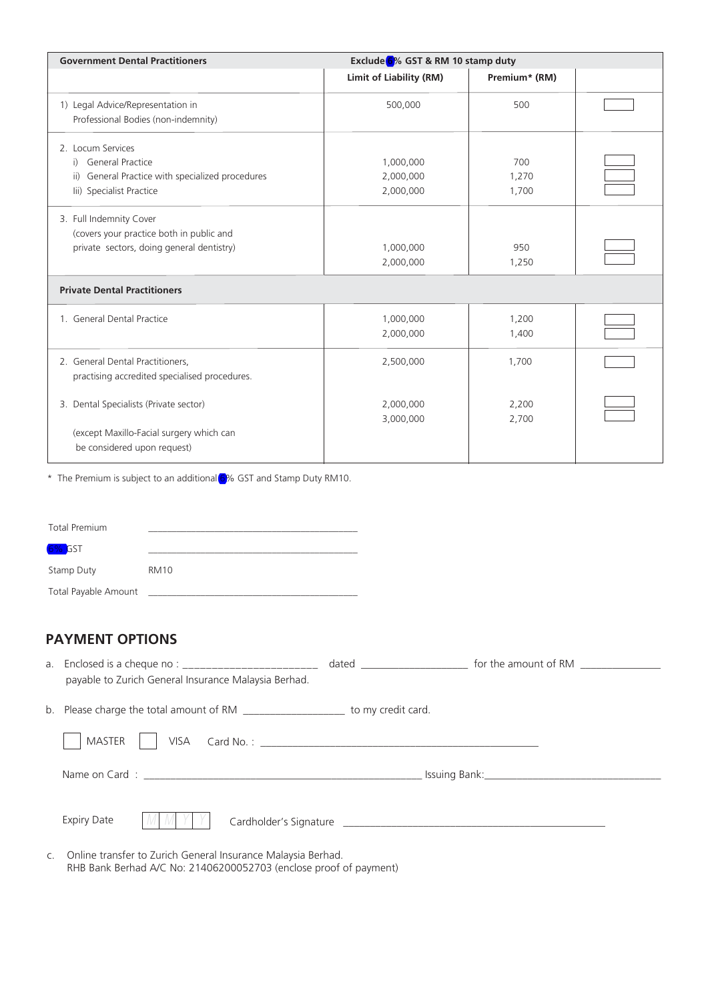| <b>Government Dental Practitioners</b>                                                                                   | Exclude 6% GST & RM 10 stamp duty   |                       |  |
|--------------------------------------------------------------------------------------------------------------------------|-------------------------------------|-----------------------|--|
|                                                                                                                          | <b>Limit of Liability (RM)</b>      | Premium* (RM)         |  |
| 1) Legal Advice/Representation in<br>Professional Bodies (non-indemnity)                                                 | 500,000                             | 500                   |  |
| 2. Locum Services<br>i) General Practice<br>ii) General Practice with specialized procedures<br>lii) Specialist Practice | 1,000,000<br>2,000,000<br>2,000,000 | 700<br>1,270<br>1,700 |  |
| 3. Full Indemnity Cover<br>(covers your practice both in public and<br>private sectors, doing general dentistry)         | 1,000,000<br>2,000,000              | 950<br>1,250          |  |
| <b>Private Dental Practitioners</b>                                                                                      |                                     |                       |  |
| 1. General Dental Practice                                                                                               | 1,000,000<br>2,000,000              | 1,200<br>1,400        |  |
| 2. General Dental Practitioners,<br>practising accredited specialised procedures.                                        | 2,500,000                           | 1,700                 |  |
| 3. Dental Specialists (Private sector)<br>(except Maxillo-Facial surgery which can<br>be considered upon request)        | 2,000,000<br>3,000,000              | 2,200<br>2,700        |  |

\* The Premium is subject to an additional 6% GST and Stamp Duty RM10.

| Total Premium        |             |
|----------------------|-------------|
| 6% GST               |             |
| <b>Stamp Duty</b>    | <b>RM10</b> |
| Total Payable Amount |             |

# **PAYMENT OPTIONS**

| a. | Enclosed is a cheque no : ___________________________                             |  |
|----|-----------------------------------------------------------------------------------|--|
|    | payable to Zurich General Insurance Malaysia Berhad.                              |  |
|    | b. Please charge the total amount of RM ______________________ to my credit card. |  |
|    | MASTER                                                                            |  |
|    |                                                                                   |  |
|    | <b>Expiry Date</b><br>M M                                                         |  |
|    |                                                                                   |  |

c. Online transfer to Zurich General Insurance Malaysia Berhad. RHB Bank Berhad A/C No: 21406200052703 (enclose proof of payment)